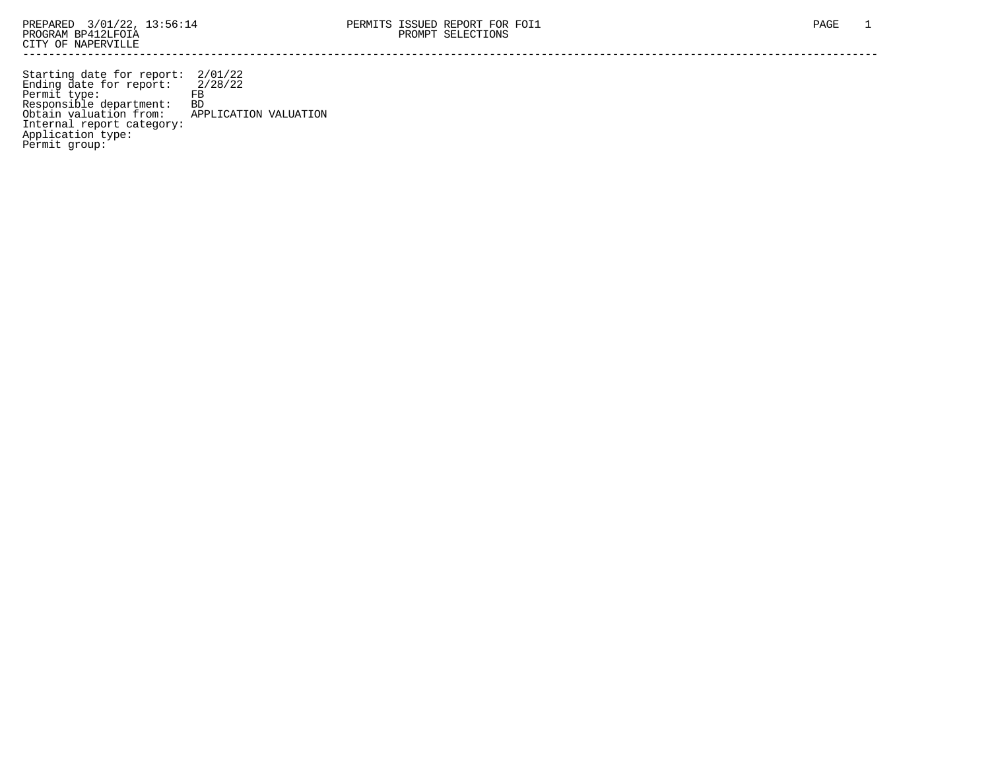Starting date for report: 2/01/22 Ending date for report: 2/28/22 Permit type: FB Responsible department: BD Obtain valuation from: APPLICATION VALUATION Internal report category: Application type: Permit group: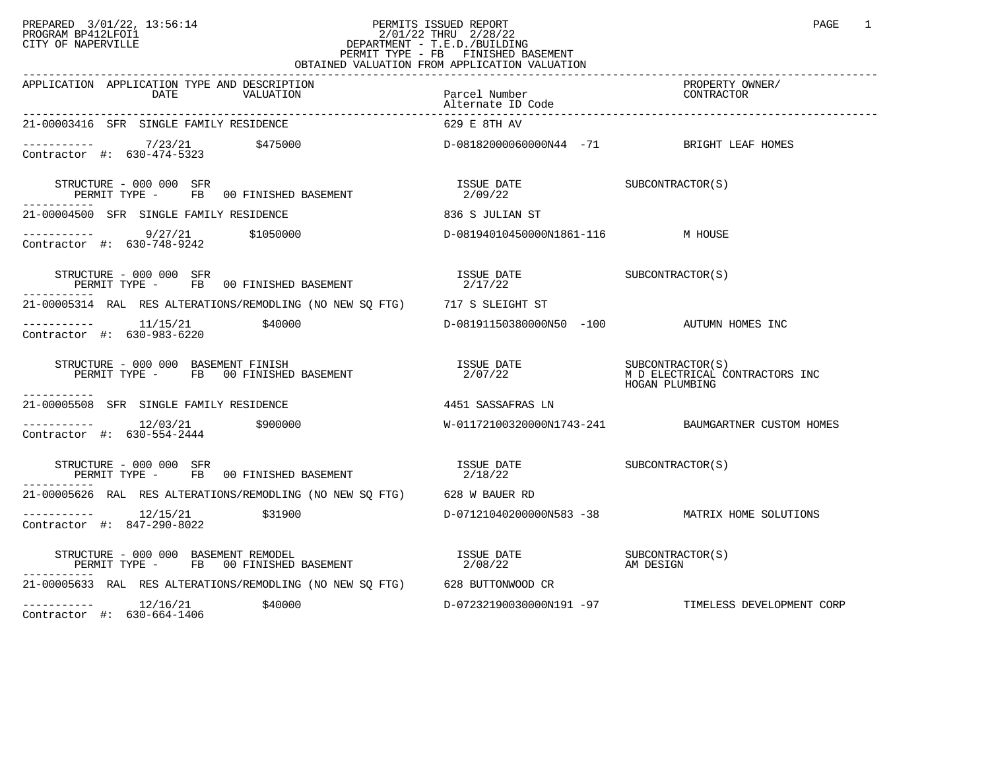## PREPARED 3/01/22, 13:56:14 PERMITS ISSUED REPORT<br>PROGRAM BP412LFOI1 PAGE 1 PROGRAM BP412LFOI1 2/01/22 THRU 2/28/22 CITY OF NAPERVILLE **Example 20** CITY OF NAPERVILLE PERMIT TYPE - FB FINISHED BASEMENT OBTAINED VALUATION FROM APPLICATION VALUATION

| APPLICATION APPLICATION TYPE AND DESCRIPTION<br>DATE<br>VALUATION                                                                                                                                                                                                                                                                                                              | Parcel Number<br>Alternate ID Code        | PROPERTY OWNER/<br>CONTRACTOR                      |
|--------------------------------------------------------------------------------------------------------------------------------------------------------------------------------------------------------------------------------------------------------------------------------------------------------------------------------------------------------------------------------|-------------------------------------------|----------------------------------------------------|
| 21-00003416 SFR SINGLE FAMILY RESIDENCE                                                                                                                                                                                                                                                                                                                                        | 629 E 8TH AV                              |                                                    |
| $-$ --------- $7/23/21$ \$475000<br>Contractor #: 630-474-5323                                                                                                                                                                                                                                                                                                                 | D-08182000060000N44 -71 BRIGHT LEAF HOMES |                                                    |
| STRUCTURE - 000 000 SFR<br>PERMIT TYPE - FB 00 FINISHED BASEMENT<br>-----------                                                                                                                                                                                                                                                                                                | ISSUE DATE<br>2/09/22                     | SUBCONTRACTOR (S)                                  |
| 21-00004500 SFR SINGLE FAMILY RESIDENCE                                                                                                                                                                                                                                                                                                                                        | 836 S JULIAN ST                           |                                                    |
| $---------$ 9/27/21 \$1050000<br>Contractor #: 630-748-9242                                                                                                                                                                                                                                                                                                                    | D-08194010450000N1861-116 M HOUSE         |                                                    |
| STRUCTURE - 000 000 SFR<br>PERMIT TYPE - FB 00 FINISHED BASEMENT                                                                                                                                                                                                                                                                                                               | ISSUE DATE<br>2/17/22                     | SUBCONTRACTOR (S)                                  |
| 21-00005314 RAL RES ALTERATIONS/REMODLING (NO NEW SO FTG) 717 S SLEIGHT ST                                                                                                                                                                                                                                                                                                     |                                           |                                                    |
| $---------$ 11/15/21 $$40000$<br>Contractor #: 630-983-6220                                                                                                                                                                                                                                                                                                                    | D-08191150380000N50 -100 AUTUMN HOMES INC |                                                    |
| STRUCTURE - 000 000 BASEMENT FINISH<br>PERMIT TYPE - FB 00 FINISHED BASEMENT<br>-----------                                                                                                                                                                                                                                                                                    |                                           | HOGAN PLUMBING                                     |
| 21-00005508 SFR SINGLE FAMILY RESIDENCE                                                                                                                                                                                                                                                                                                                                        | 4451 SASSAFRAS LN                         |                                                    |
| $--------$ 12/03/21 \$900000<br>Contractor #: 630-554-2444                                                                                                                                                                                                                                                                                                                     |                                           | W-01172100320000N1743-241 BAUMGARTNER CUSTOM HOMES |
| STRUCTURE - 000 000 SFR<br>PERMIT TYPE - FB 00 FINISHED BASEMENT                                                                                                                                                                                                                                                                                                               | ISSUE DATE<br>2/18/22                     | SUBCONTRACTOR (S)                                  |
| 21-00005626 RAL RES ALTERATIONS/REMODLING (NO NEW SO FTG) 628 W BAUER RD                                                                                                                                                                                                                                                                                                       |                                           |                                                    |
| $--------- 12/15/21$<br>\$31900<br>Contractor #: 847-290-8022                                                                                                                                                                                                                                                                                                                  |                                           |                                                    |
| $\begin{array}{cccc} \texttt{STRUCTURE} & - & 000 & 000 & \texttt{BASEMENT REMODEL} \\ \texttt{PERMIT TYPE} & - & \texttt{FB} & 00 \texttt{ FINISHED BASEMENT} & & \\ \end{array} \qquad \begin{array}{cccc} \texttt{ISSUE} & \texttt{DATE} \\ 2/08/22 & & \texttt{AMர} \\ \end{array} \qquad \begin{array}{cccc} \texttt{SUBCONTRACTOR(S)} \\ \texttt{AM DESIGN} \end{array}$ |                                           |                                                    |
| 21-00005633 RAL RES ALTERATIONS/REMODLING (NO NEW SQ FTG) 628 BUTTONWOOD CR                                                                                                                                                                                                                                                                                                    |                                           |                                                    |
| $--------- 12/16/21$ \$40000<br>Contractor #: 630-664-1406                                                                                                                                                                                                                                                                                                                     |                                           | D-07232190030000N191 -97 TIMELESS DEVELOPMENT CORP |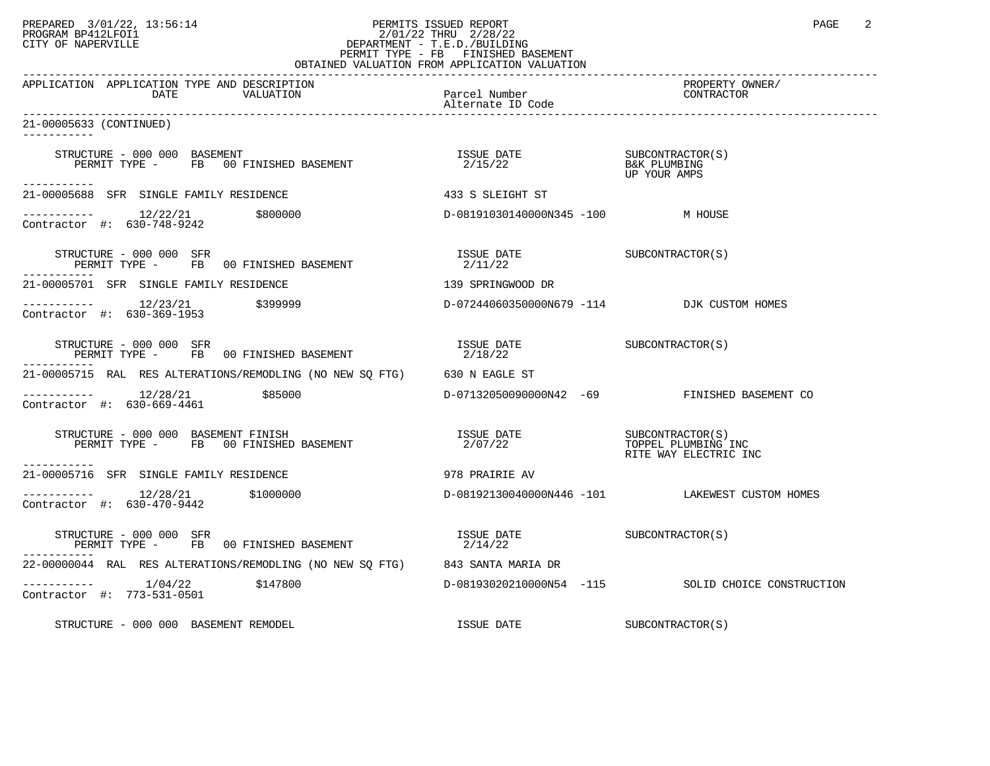## PREPARED 3/01/22, 13:56:14 PERMITS ISSUED REPORT PAGE 2<br>PROGRAM BP412LFOI1 PAGE 2/01/22 THRU 2/28/22 PROGRAM BP412LFOI1 2/01/22 THRU 2/28/22 CITY OF NAPERVILLE **Example 20** CITY OF NAPERVILLE PERMIT TYPE - FB FINISHED BASEMENT

| OBTAINED VALUATION FROM APPLICATION VALUATION                                                                                                                                                            |                                                                                                                     |                                                                  |  |  |
|----------------------------------------------------------------------------------------------------------------------------------------------------------------------------------------------------------|---------------------------------------------------------------------------------------------------------------------|------------------------------------------------------------------|--|--|
| APPLICATION APPLICATION TYPE AND DESCRIPTION<br>DATE<br>VALUATION                                                                                                                                        | Parcel Number<br>Alternate ID Code                                                                                  | PROPERTY OWNER/<br>CONTRACTOR                                    |  |  |
| 21-00005633 (CONTINUED)<br>-----------                                                                                                                                                                   |                                                                                                                     |                                                                  |  |  |
| STRUCTURE – 000 000 BASEMENT<br>PERMIT TYPE – FB 00 FINISHED BASEMENT – 1990 1991 1992/15/22<br>PERMIT TYPE – FB 00 FINISHED BASEMENT – 2/15/22<br>STRUCTURE - 000 000 BASEMENT                          |                                                                                                                     | UP YOUR AMPS                                                     |  |  |
| -----------<br>21-00005688 SFR SINGLE FAMILY RESIDENCE                                                                                                                                                   | 433 S SLEIGHT ST                                                                                                    |                                                                  |  |  |
| $\frac{12}{22}$ \$800000<br>Contractor #: 630, 749, 9343<br>Contractor #: 630-748-9242                                                                                                                   | D-08191030140000N345 -100 M HOUSE                                                                                   |                                                                  |  |  |
| STRUCTURE - 000 000 SFR<br>PERMIT TYPE - FB 00 FINISHED BASEMENT                                                                                                                                         | ISSUE DATE SUBCONTRACTOR(S)<br>2/11/22                                                                              |                                                                  |  |  |
| 21-00005701 SFR SINGLE FAMILY RESIDENCE                                                                                                                                                                  | 139 SPRINGWOOD DR                                                                                                   |                                                                  |  |  |
| -----------  12/23/21  \$399999<br>Contractor #: 630-369-1953                                                                                                                                            | D-07244060350000N679 -114 DJK CUSTOM HOMES                                                                          |                                                                  |  |  |
| STRUCTURE - 000 000 SFR<br>PERMIT TYPE - FB 00 FINISHED BASEMENT                                                                                                                                         | $\begin{array}{ll}\n\text{ISSUE} & \text{DATE} \\ \text{2/19/22} & \text{SUBCONTRACTOR(S)}\n\end{array}$<br>2/18/22 |                                                                  |  |  |
| 21-00005715 RAL RES ALTERATIONS/REMODLING (NO NEW SQ FTG) 630 N EAGLE ST                                                                                                                                 |                                                                                                                     |                                                                  |  |  |
| $--------- 12/28/21$ \$85000<br>Contractor #: 630-669-4461                                                                                                                                               |                                                                                                                     | D-07132050090000N42 -69 FINISHED BASEMENT CO                     |  |  |
| RUCTURE - 000 000 BASEMENT FINISH<br>PERMIT TYPE -     FB   00 FINISHED BASEMENT<br>STRUCTURE - 000 000 BASEMENT FINISH<br>-----------                                                                   | ISSUE DATE<br>2/07/22                                                                                               | SUBCONTRACTOR(S)<br>TOPPEL PLUMBING INC<br>RITE WAY ELECTRIC INC |  |  |
| 21-00005716 SFR SINGLE FAMILY RESIDENCE                                                                                                                                                                  | 978 PRAIRIE AV                                                                                                      |                                                                  |  |  |
| $\frac{12}{28/21}$ \$1000000<br>Contractor #: 630-470-9442<br>Contractor #: 630-470-9442                                                                                                                 |                                                                                                                     | D-08192130040000N446 -101 LAKEWEST CUSTOM HOMES                  |  |  |
| $\begin{array}{cccc} \texttt{STRUCTURE} & - & 000 & 000 & \texttt{SFR} \\ \texttt{PERMIT TYPE} & - & \texttt{FB} & 00 & \texttt{FINISHED BASEMENT} & \texttt{3/14/22} & \texttt{3/14/22} \\ \end{array}$ |                                                                                                                     |                                                                  |  |  |
| 22-00000044 RAL RES ALTERATIONS/REMODLING (NO NEW SO FTG) 843 SANTA MARIA DR                                                                                                                             |                                                                                                                     |                                                                  |  |  |
| $------ 1/04/22$ \$147800<br>Contractor #: 773-531-0501                                                                                                                                                  |                                                                                                                     | D-08193020210000N54 -115 SOLID CHOICE CONSTRUCTION               |  |  |
| STRUCTURE - 000 000 BASEMENT REMODEL                                                                                                                                                                     | ISSUE DATE                                                                                                          | SUBCONTRACTOR(S)                                                 |  |  |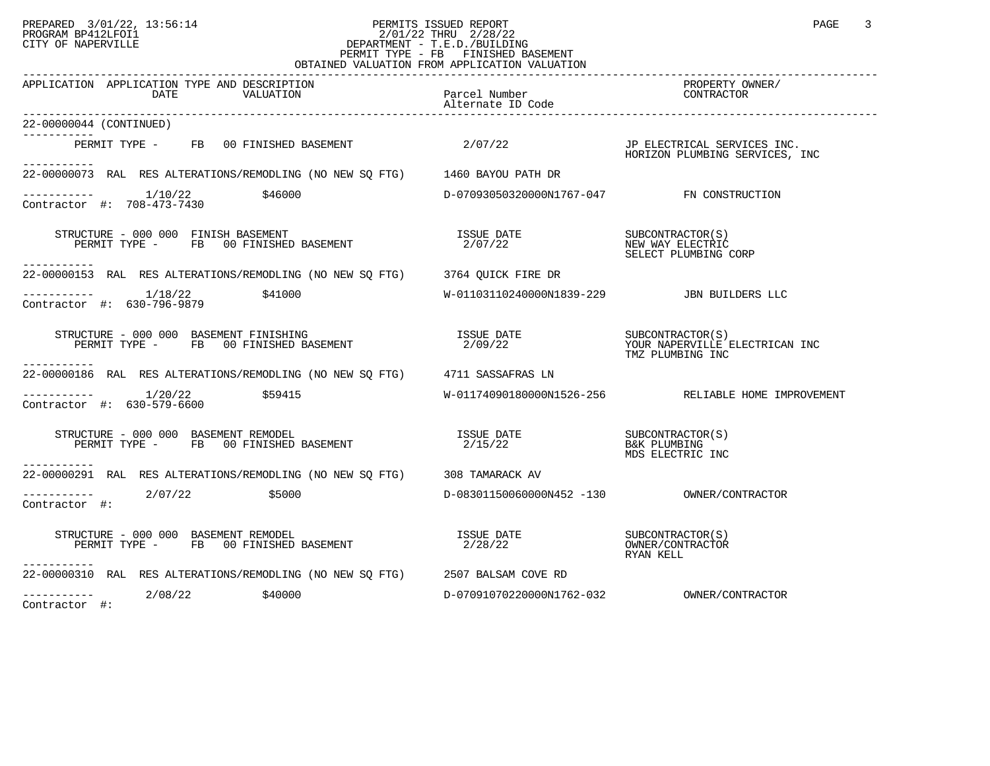## PREPARED 3/01/22, 13:56:14 PERMITS ISSUED REPORT<br>PROGRAM BP412LFOI1 PAGE 3 PROGRAM BP412LFOI1 2/01/22 THRU 2/28/22 CITY OF NAPERVILLE **Example 20** CITY OF NAPERVILLE PERMIT TYPE - FB FINISHED BASEMENT OBTAINED VALUATION FROM APPLICATION VALUATION

| APPLICATION APPLICATION TYPE AND DESCRIPTION<br>DATE<br>VALUATION                                                          | Parcel Number<br>Alternate ID Code                      | PROPERTY OWNER/<br>CONTRACTOR                       |
|----------------------------------------------------------------------------------------------------------------------------|---------------------------------------------------------|-----------------------------------------------------|
| 22-00000044 (CONTINUED)                                                                                                    |                                                         |                                                     |
| -----------<br>PERMIT TYPE - FB 00 FINISHED BASEMENT<br>-----------                                                        | 2/07/22 JP ELECTRICAL SERVICES INC.                     | HORIZON PLUMBING SERVICES, INC                      |
| 22-00000073 RAL RES ALTERATIONS/REMODLING (NO NEW SQ FTG) 1460 BAYOU PATH DR                                               |                                                         |                                                     |
| $---------$ 1/10/22 \$46000<br>Contractor #: 708-473-7430                                                                  | D-07093050320000N1767-047 FN CONSTRUCTION               |                                                     |
| STRUCTURE - 000 000 FINISH BASEMENT<br>PERMIT TYPE - FB 00 FINISHED BASEMENT<br>----------                                 | ISSUE DATE SUBCONTRACTOR(S)<br>2/07/22 MEW MAY ELECTRIC | SELECT PLUMBING CORP                                |
| 22-00000153 RAL RES ALTERATIONS/REMODLING (NO NEW SQ FTG) 3764 QUICK FIRE DR                                               |                                                         |                                                     |
| $-------- 1/18/22$ \$41000<br>Contractor #: 630-796-9879                                                                   | W-01103110240000N1839-229 JBN BUILDERS LLC              |                                                     |
| STRUCTURE – 000 000 BASEMENT FINISHING<br>PERMIT TYPE – FB 00 FINISHED BASEMENT – 2/09/22 – YOUR NAPERVILLE ELECTRICAN INC |                                                         | TMZ PLUMBING INC                                    |
| . <u>.</u> .<br>22-00000186 RAL RES ALTERATIONS/REMODLING (NO NEW SO FTG) 4711 SASSAFRAS LN                                |                                                         |                                                     |
| $-------- 1/20/22$ \$59415<br>Contractor #: 630-579-6600                                                                   |                                                         | W-01174090180000N1526-256 RELIABLE HOME IMPROVEMENT |
| STRUCTURE - 000 000 BASEMENT REMODEL<br>PERMIT TYPE - FB 00 FINISHED BASEMENT                                              | ISSUE DATE SUBCONTRACTOR(S)<br>2/15/22                  | B&K PLUMBING<br>MDS ELECTRIC INC                    |
| 22-00000291 RAL RES ALTERATIONS/REMODLING (NO NEW SQ FTG) 308 TAMARACK AV                                                  |                                                         |                                                     |
| $---------2/07/22$ \$5000<br>Contractor #:                                                                                 |                                                         |                                                     |
| STRUCTURE - 000 000 BASEMENT REMODEL<br>PERMIT TYPE - FB 00 FINISHED BASEMENT<br>-----------                               | ISSUE DATE<br>2.490.490<br>2/28/22                      | OWNER/CONTRACTOR<br>RYAN KELL                       |
| 22-00000310 RAL RES ALTERATIONS/REMODLING (NO NEW SQ FTG) 2507 BALSAM COVE RD                                              |                                                         |                                                     |
| $\frac{---------}{2/08/22}$<br>Contractor #:<br>\$40000                                                                    | D-07091070220000N1762-032                               | OWNER/CONTRACTOR                                    |